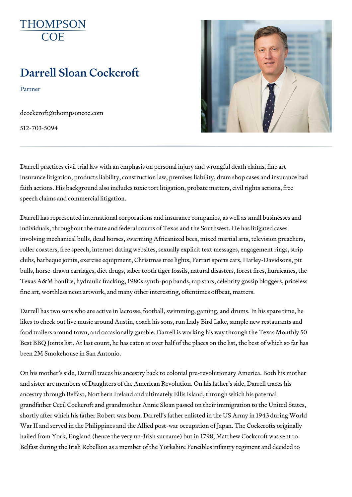# Darrell Sloan Cockcroft

Partner

[dcockcroft@thomps](mailto:dcockcroft@thompsoncoe.com)oncoe.com

512-703-5094

Darrell practices civil trial law with an emphasis on personal injury and wr insurance litigation, products liability, construction law, premises liability faith actions. His background also includes toxic tort litigation, probate m speech claims and commercial litigation.

Darrell has represented international corporations and insurance companie individuals, throughout the state and federal courts of Texas and the Sout involving mechanical bulls, dead horses, swarming Africanized bees, mixed roller coasters, free speech, internet dating websites, sexually explicit text clubs, barbeque joints, exercise equipment, Christmas tree lights, Ferrari bulls, horse-drawn carriages, diet drugs, saber tooth tiger fossils, natural Texas A&M bonfire, hydraulic fracking, 1980s synth-pop bands, rap stars, fine art, worthless neon artwork, and many other interesting, oftentimes of

Darrell has two sons who are active in lacrosse, football, swimming, gaming likes to check out live music around Austin, coach his sons, run Lady Bird food trailers around town, and occasionally gamble. Darrell is working his Best BBQ Joints list. At last count, he has eaten at over half of the places been 2M Smokehouse in San Antonio.

On his mother s side, Darrell traces his ancestry back to colonial pre-revo and sister are members of Daughters of the American Revolution. On his fa ancestry through Belfast, Northern Ireland and ultimately Ellis Island, thro grandfather Cecil Cockcroft and grandmother Annie Sloan passed on their shortly after which his father Robert was born. Darrell s father enlisted in War II and served in the Philippines and the Allied post-war occupation of hailed from York, England (hence the very un-Irish surname) but in 1798, I Belfast during the Irish Rebellion as a member of the Yorkshire Fencibles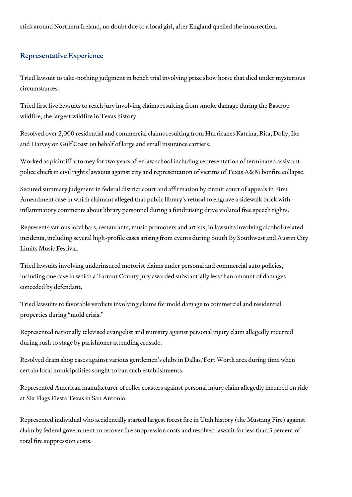stick around Northern Ireland, no doubt due to a local girl, after England quelled the insurrection.

# Representative Experience

Tried lawsuit to take-nothing judgment in bench trial involving prize show horse that died under mysterious circumstances.

Tried first five lawsuits to reach jury involving claims resulting from smoke damage during the Bastrop wildfire, the largest wildfire in Texas history.

Resolved over 2,000 residential and commercial claims resulting from Hurricanes Katrina, Rita, Dolly, Ike and Harvey on Gulf Coast on behalf of large and small insurance carriers.

Worked as plaintiff attorney for two years after law school including representation of terminated assistant police chiefs in civil rights lawsuits against city and representation of victims of Texas A&M bonfire collapse.

Secured summary judgment in federal district court and affirmation by circuit court of appeals in First Amendment case in which claimant alleged that public library's refusal to engrave a sidewalk brick with inflammatory comments about library personnel during a fundraising drive violated free speech rights.

Represents various local bars, restaurants, music promoters and artists, in lawsuits involving alcohol-related incidents, including several high-profile cases arising from events during South By Southwest and Austin City Limits Music Festival.

Tried lawsuits involving underinsured motorist claims under personal and commercial auto policies, including one case in which a Tarrant County jury awarded substantially less than amount of damages conceded by defendant.

Tried lawsuits to favorable verdicts involving claims for mold damage to commercial and residential properties during "mold crisis."

Represented nationally televised evangelist and ministry against personal injury claim allegedly incurred during rush to stage by parishioner attending crusade.

Resolved dram shop cases against various gentlemen's clubs in Dallas/Fort Worth area during time when certain local municipalities sought to ban such establishments.

Represented American manufacturer of roller coasters against personal injury claim allegedly incurred on ride at Six Flags Fiesta Texas in San Antonio.

Represented individual who accidentally started largest forest fire in Utah history (the Mustang Fire) against claim by federal government to recover fire suppression costs and resolved lawsuit for less than 3 percent of total fire suppression costs.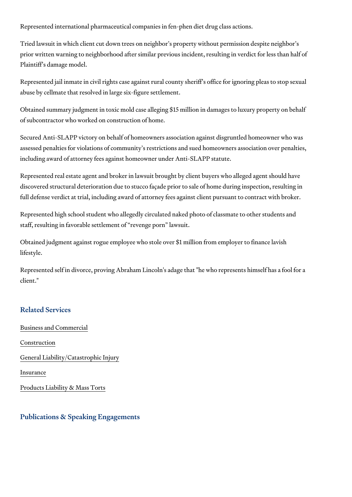Represented international pharmaceutical companies in fen-phen diet drug

Tried lawsuit in which client cut down trees on neighbor s property without prior written warning to neighborhood after similar previous incident, resu Plaintiff s damage model.

Represented jail inmate in civil rights case against rural county sheriff s of abuse by cellmate that resolved in large six-figure settlement.

Obtained summary judgment in toxic mold case alleging \$15 million in dam of subcontractor who worked on construction of home.

Secured Anti-SLAPP victory on behalf of homeowners association against dis assessed penalties for violations of community s restrictions and sued hon including award of attorney fees against homeowner under Anti-SLAPP stat

Represented real estate agent and broker in lawsuit brought by client buye discovered structural deterioration due to stucco façade prior to sale of home full defense verdict at trial, including award of attorney fees against clien

Represented high school student who allegedly circulated naked photo of c staff, resulting in favorable settlement of revenge porn lawsuit.

Obtained judgment against rogue employee who stole over \$1 million from lifestyle.

Represented self in divorce, proving Abraham Lincoln's adage that "he who client."

#### Related Services

[Business and C](https://www.thompsoncoe.com/people/darrell-sloan-cockcroft/)ommercial

[Constru](https://www.thompsoncoe.com/people/darrell-sloan-cockcroft/)ction

[General Liability/Catas](https://www.thompsoncoe.com/people/darrell-sloan-cockcroft/)trophic Injury

[Insura](https://www.thompsoncoe.com/people/darrell-sloan-cockcroft/)nce

[Products Liability &](https://www.thompsoncoe.com/people/darrell-sloan-cockcroft/) Mass Torts

Publications & Speaking Engagements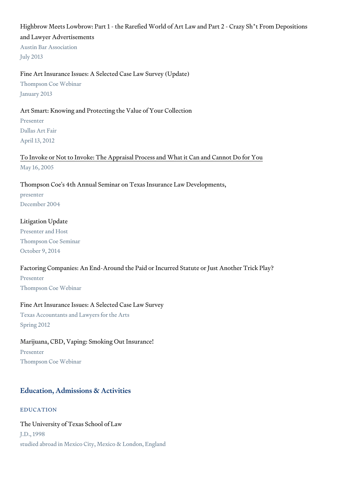Highbrow Meets Lowbrow: Part 1 - the Rarefied World of Art Law and Part and Lawyer Advertisements Austin Bar Association July 2013

Fine Art Insurance Issues: A Selected Case Law Survey (Update) Thompson Coe Webinar January 2013

Art Smart: Knowing and Protecting the Value of Your Collection Presenter Dallas Art Fair April 13, 2012

[To Invoke or Not to Invoke: The Appraisal Process and](https://www.thompsoncoe.com/resources/publications/to-invoke-or-not-to-invoke-the-appraisal-process-and-what-it-can-and-cannot-do-for-you/) What it Can and Ca May 16, 2005

Thompson Coe's 4th Annual Seminar on Texas Insurance Law Developments, presenter December 2004

Litigation Update Presenter and Host Thompson Coe Seminar October 9, 2014

Factoring Companies: An End-Around the Paid or Incurred Statute or Just. Presenter Thompson Coe Webinar

Fine Art Insurance Issues: A Selected Case Law Survey Texas Accountants and Lawyers for the Arts Spring 2012

Marijuana, CBD, Vaping: Smoking Out Insurance!

Presenter Thompson Coe Webinar

## Education, Admissions & Activities

#### EDUCATION

The University of Texas School of Law J.D., 1998 studied abroad in Mexico City, Mexico & London, England